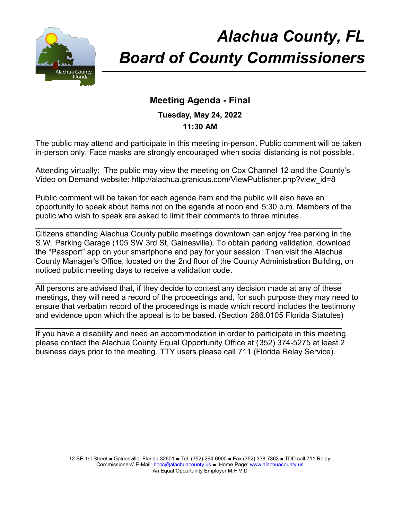

# *Alachua County, FL Board of County Commissioners*

# **Meeting Agenda - Final**

# **Tuesday, May 24, 2022 11:30 AM**

The public may attend and participate in this meeting in-person. Public comment will be taken in-person only. Face masks are strongly encouraged when social distancing is not possible.

Attending virtually: The public may view the meeting on Cox Channel 12 and the County's Video on Demand website: http://alachua.granicus.com/ViewPublisher.php?view\_id=8

Public comment will be taken for each agenda item and the public will also have an opportunity to speak about items not on the agenda at noon and 5:30 p.m. Members of the public who wish to speak are asked to limit their comments to three minutes.

\_\_\_\_\_\_\_\_\_\_\_\_\_\_\_\_\_\_\_\_\_\_\_\_\_\_\_\_\_\_\_\_\_\_\_\_\_\_\_\_\_\_\_\_\_\_\_\_\_\_\_\_\_\_\_\_\_\_\_\_\_\_\_\_\_\_\_\_\_\_

Citizens attending Alachua County public meetings downtown can enjoy free parking in the S.W. Parking Garage (105 SW 3rd St, Gainesville). To obtain parking validation, download the "Passport" app on your smartphone and pay for your session. Then visit the Alachua County Manager's Office, located on the 2nd floor of the County Administration Building, on noticed public meeting days to receive a validation code.

\_\_\_\_\_\_\_\_\_\_\_\_\_\_\_\_\_\_\_\_\_\_\_\_\_\_\_\_\_\_\_\_\_\_\_\_\_\_\_\_\_\_\_\_\_\_\_\_\_\_\_\_\_\_\_\_\_\_\_\_\_\_\_\_\_\_\_\_\_\_ All persons are advised that, if they decide to contest any decision made at any of these meetings, they will need a record of the proceedings and, for such purpose they may need to ensure that verbatim record of the proceedings is made which record includes the testimony and evidence upon which the appeal is to be based. (Section 286.0105 Florida Statutes)

If you have a disability and need an accommodation in order to participate in this meeting, please contact the Alachua County Equal Opportunity Office at (352) 374-5275 at least 2 business days prior to the meeting. TTY users please call 711 (Florida Relay Service).

\_\_\_\_\_\_\_\_\_\_\_\_\_\_\_\_\_\_\_\_\_\_\_\_\_\_\_\_\_\_\_\_\_\_\_\_\_\_\_\_\_\_\_\_\_\_\_\_\_\_\_\_\_\_\_\_\_\_\_\_\_\_\_\_\_\_\_\_\_\_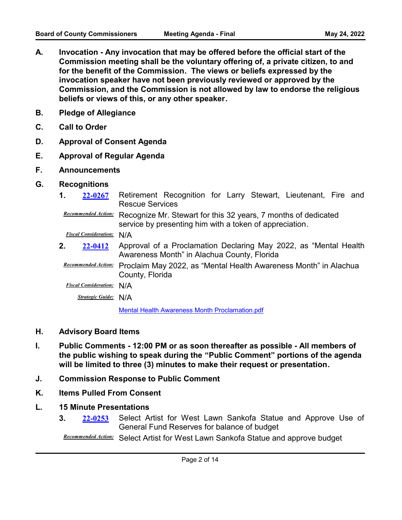- **A. Invocation Any invocation that may be offered before the official start of the Commission meeting shall be the voluntary offering of, a private citizen, to and for the benefit of the Commission. The views or beliefs expressed by the invocation speaker have not been previously reviewed or approved by the Commission, and the Commission is not allowed by law to endorse the religious beliefs or views of this, or any other speaker.**
- **B. Pledge of Allegiance**
- **C. Call to Order**
- **D. Approval of Consent Agenda**
- **E. Approval of Regular Agenda**
- **F. Announcements**
- **G. Recognitions**
	- **1. 22-0267** Retirement Recognition for Larry Stewart, Lieutenant, Fire and Rescue Services **[22-0267](http://alachua.legistar.com/gateway.aspx?m=l&id=/matter.aspx?key=4623)**

Recommended Action: Recognize Mr. Stewart for this 32 years, 7 months of dedicated service by presenting him with a token of appreciation.

*Fiscal Consideration:* N/A

- **2. 22-0412** Approval of a Proclamation Declaring May 2022, as "Mental Health Awareness Month" in Alachua County, Florida **[22-0412](http://alachua.legistar.com/gateway.aspx?m=l&id=/matter.aspx?key=4768)**
- **Recommended Action:** Proclaim May 2022, as "Mental Health Awareness Month" in Alachua County, Florida

*Fiscal Consideration:* N/A

*Strategic Guide:* N/A

[Mental Health Awareness Month Proclamation.pdf](http://alachua.legistar.com/gateway.aspx?M=F&ID=7047da6a-95f8-4ee9-8782-7e5c7cf900d4.pdf)

- **H. Advisory Board Items**
- **I. Public Comments 12:00 PM or as soon thereafter as possible All members of the public wishing to speak during the "Public Comment" portions of the agenda will be limited to three (3) minutes to make their request or presentation.**
- **J. Commission Response to Public Comment**
- **K. Items Pulled From Consent**
- **L. 15 Minute Presentations**
	- **3. 22-0253** Select Artist for West Lawn Sankofa Statue and Approve Use of General Fund Reserves for balance of budget **[22-0253](http://alachua.legistar.com/gateway.aspx?m=l&id=/matter.aspx?key=4609)**

**Recommended Action:** Select Artist for West Lawn Sankofa Statue and approve budget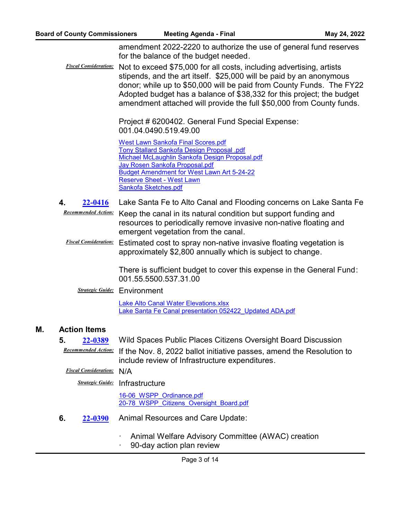amendment 2022-2220 to authorize the use of general fund reserves for the balance of the budget needed.

*Fiscal Consideration:* Not to exceed \$75,000 for all costs, including advertising, artists stipends, and the art itself. \$25,000 will be paid by an anonymous donor; while up to \$50,000 will be paid from County Funds. The FY22 Adopted budget has a balance of \$38,332 for this project; the budget amendment attached will provide the full \$50,000 from County funds.

> Project # 6200402. General Fund Special Expense: 001.04.0490.519.49.00

[West Lawn Sankofa Final Scores.pdf](http://alachua.legistar.com/gateway.aspx?M=F&ID=b37736f2-7c47-456b-a0d2-8b9a224e0719.pdf) [Tony Stallard Sankofa Design Proposal .pdf](http://alachua.legistar.com/gateway.aspx?M=F&ID=5a53d689-354a-4605-b010-b9daa09eacaa.pdf) [Michael McLaughlin Sankofa Design Proposal.pdf](http://alachua.legistar.com/gateway.aspx?M=F&ID=7d329e72-ab10-48ca-a4f8-77a2baad668f.pdf) [Jay Rosen Sankofa Proposal.pdf](http://alachua.legistar.com/gateway.aspx?M=F&ID=e31f5faa-f24d-4078-b016-7428b70c0131.pdf) [Budget Amendment for West Lawn Art 5-24-22](http://alachua.legistar.com/gateway.aspx?M=F&ID=6f500aad-d469-48a0-895e-abe28f362806.pdf) [Reserve Sheet - West Lawn](http://alachua.legistar.com/gateway.aspx?M=F&ID=91136954-6549-4fcd-b645-e090f949552d.pdf) [Sankofa Sketches.pdf](http://alachua.legistar.com/gateway.aspx?M=F&ID=5d9bb2f4-77c5-4e1b-90e1-35507b454acb.pdf)

- **4. [22-0416](http://alachua.legistar.com/gateway.aspx?m=l&id=/matter.aspx?key=4772)** Lake Santa Fe to Alto Canal and Flooding concerns on Lake Santa Fe
- Recommended Action: Keep the canal in its natural condition but support funding and resources to periodically remove invasive non-native floating and emergent vegetation from the canal.
- *Fiscal Consideration:* Estimated cost to spray non-native invasive floating vegetation is approximately \$2,800 annually which is subject to change.

There is sufficient budget to cover this expense in the General Fund: 001.55.5500.537.31.00

**Strategic Guide:** Environment

[Lake Alto Canal Water Elevations.xlsx](http://alachua.legistar.com/gateway.aspx?M=F&ID=30ad508e-7eb3-42b5-b76d-99dbdb3e4fbe.xlsx) Lake Santa Fe Canal presentation 052422 Updated ADA.pdf

#### **M. Action Items**

**5. [22-0389](http://alachua.legistar.com/gateway.aspx?m=l&id=/matter.aspx?key=4745)** Wild Spaces Public Places Citizens Oversight Board Discussion

Recommended Action: If the Nov. 8, 2022 ballot initiative passes, amend the Resolution to include review of Infrastructure expenditures.

#### *Fiscal Consideration:* N/A

*Strategic Guide:* Infrastructure

16-06 WSPP Ordinance.pdf [20-78\\_WSPP\\_Citizens\\_Oversight\\_Board.pdf](http://alachua.legistar.com/gateway.aspx?M=F&ID=2e0df0fd-1c37-4d89-829b-857c63ff8c30.pdf)

- **6.** 22-0390 Animal Resources and Care Update: **[22-0390](http://alachua.legistar.com/gateway.aspx?m=l&id=/matter.aspx?key=4746)**
	- Animal Welfare Advisory Committee (AWAC) creation
	- 90-day action plan review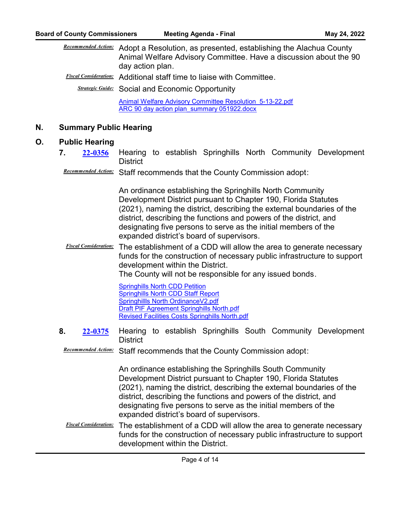| <b>Recommended Action:</b> Adopt a Resolution, as presented, establishing the Alachua County                                                                                                                                           |
|----------------------------------------------------------------------------------------------------------------------------------------------------------------------------------------------------------------------------------------|
| Animal Welfare Advisory Committee. Have a discussion about the 90                                                                                                                                                                      |
| day action plan.                                                                                                                                                                                                                       |
| $F_{i}^{i}$ and $G_{i}$ and $G_{i}$ and $\Lambda$ in the contract of the contract of the contract of the contract of the contract of the contract of the contract of the contract of the contract of the contract of the contract of t |

*Fiscal Consideration:* Additional staff time to liaise with Committee.

*Strategic Guide:* Social and Economic Opportunity

[Animal Welfare Advisory Committee Resolution\\_5-13-22.pdf](http://alachua.legistar.com/gateway.aspx?M=F&ID=436537b1-82fc-4c05-a5a3-9796db9a3376.pdf) [ARC 90 day action plan\\_summary 051922.docx](http://alachua.legistar.com/gateway.aspx?M=F&ID=8989b1d4-148c-45d7-92fc-4ff63c576313.docx)

# **N. Summary Public Hearing**

# **O. Public Hearing**

- **7. 22-0356** Hearing to establish Springhills North Community Development **District [22-0356](http://alachua.legistar.com/gateway.aspx?m=l&id=/matter.aspx?key=4712)**
- Recommended Action: Staff recommends that the County Commission adopt:

An ordinance establishing the Springhills North Community Development District pursuant to Chapter 190, Florida Statutes (2021), naming the district, describing the external boundaries of the district, describing the functions and powers of the district, and designating five persons to serve as the initial members of the expanded district's board of supervisors.

*Fiscal Consideration:* The establishment of a CDD will allow the area to generate necessary funds for the construction of necessary public infrastructure to support development within the District.

The County will not be responsible for any issued bonds.

[Springhills North CDD Petition](http://alachua.legistar.com/gateway.aspx?M=F&ID=4e285f6a-8331-448e-bbcf-20d7d1cd1e36.pdf) [Springhills North CDD Staff Report](http://alachua.legistar.com/gateway.aspx?M=F&ID=d6697c0e-2649-4e99-a6ad-25f15ea3e30a.pdf) [Springhillls North OrdinanceV2.pdf](http://alachua.legistar.com/gateway.aspx?M=F&ID=e93f67ec-b844-44ce-9b87-9e1eb72369cb.pdf) [Draft PIF Agreement Springhills North.pdf](http://alachua.legistar.com/gateway.aspx?M=F&ID=e8c31a62-1122-43e5-9d46-b333949c036a.pdf) [Revised Facilities Costs Springhills North.pdf](http://alachua.legistar.com/gateway.aspx?M=F&ID=f1754d63-8662-4133-913b-ca867d880737.pdf)

**8. 22-0375** Hearing to establish Springhills South Community Development **District [22-0375](http://alachua.legistar.com/gateway.aspx?m=l&id=/matter.aspx?key=4731)**

Recommended Action: Staff recommends that the County Commission adopt:

An ordinance establishing the Springhills South Community Development District pursuant to Chapter 190, Florida Statutes (2021), naming the district, describing the external boundaries of the district, describing the functions and powers of the district, and designating five persons to serve as the initial members of the expanded district's board of supervisors.

*Fiscal Consideration:* The establishment of a CDD will allow the area to generate necessary funds for the construction of necessary public infrastructure to support development within the District.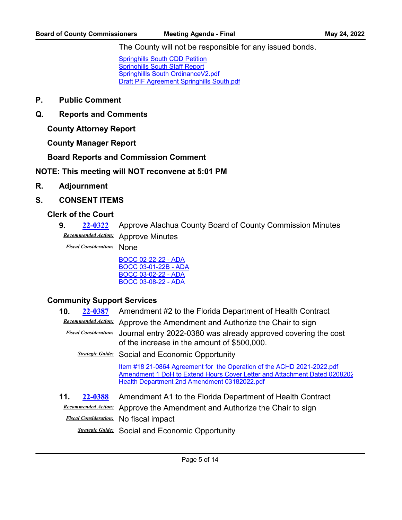The County will not be responsible for any issued bonds.

[Springhills South CDD Petition](http://alachua.legistar.com/gateway.aspx?M=F&ID=b7ff3e0f-d8e2-494c-a9af-b3337272b150.pdf) **[Springhills South Staff Report](http://alachua.legistar.com/gateway.aspx?M=F&ID=776c5aa2-ff34-4842-a1e9-9353f5634e53.pdf)** [Springhillls South OrdinanceV2.pdf](http://alachua.legistar.com/gateway.aspx?M=F&ID=5984a37b-c2d0-44fc-a877-98a0e5441224.pdf) [Draft PIF Agreement Springhills South.pdf](http://alachua.legistar.com/gateway.aspx?M=F&ID=d9f7d86f-a4ba-4310-8eaf-4a101a32942b.pdf)

- **P. Public Comment**
- **Q. Reports and Comments**

**County Attorney Report**

**County Manager Report**

**Board Reports and Commission Comment**

**NOTE: This meeting will NOT reconvene at 5:01 PM**

- **R. Adjournment**
- **S. CONSENT ITEMS**

#### **Clerk of the Court**

**9. [22-0322](http://alachua.legistar.com/gateway.aspx?m=l&id=/matter.aspx?key=4678)** Approve Alachua County Board of County Commission Minutes **Recommended Action:** Approve Minutes

*Fiscal Consideration:* None

[BOCC 02-22-22 - ADA](http://alachua.legistar.com/gateway.aspx?M=F&ID=7630f811-e961-440c-bd69-5bcf8c359967.pdf) [BOCC 03-01-22B - ADA](http://alachua.legistar.com/gateway.aspx?M=F&ID=937da28d-2f39-4712-a1c0-82842320045d.pdf) [BOCC 03-02-22 - ADA](http://alachua.legistar.com/gateway.aspx?M=F&ID=14b8c5dc-b7b6-431e-930c-aef77b3f3b21.pdf) [BOCC 03-08-22 - ADA](http://alachua.legistar.com/gateway.aspx?M=F&ID=54320c60-5bfc-480e-b352-30f4dbbf453b.pdf)

#### **Community Support Services**

**10. [22-0387](http://alachua.legistar.com/gateway.aspx?m=l&id=/matter.aspx?key=4743)** Amendment #2 to the Florida Department of Health Contract

**Recommended Action:** Approve the Amendment and Authorize the Chair to sign

*Fiscal Consideration:* Journal entry 2022-0380 was already approved covering the cost of the increase in the amount of \$500,000.

*Strategic Guide:* Social and Economic Opportunity

[Item #18 21-0864 Agreement for the Operation of the ACHD 2021-2022.pdf](http://alachua.legistar.com/gateway.aspx?M=F&ID=becec022-1ba6-4cd3-9f02-2c3a184ee823.pdf) Amendment 1 DoH to Extend Hours Cover Letter and Attachment Dated 0208202 [Health Department 2nd Amendment 03182022.pdf](http://alachua.legistar.com/gateway.aspx?M=F&ID=b0718f90-dc4e-4877-9b8e-ece772a14c8a.pdf)

**11. [22-0388](http://alachua.legistar.com/gateway.aspx?m=l&id=/matter.aspx?key=4744)** Amendment A1 to the Florida Department of Health Contract **Recommended Action:** Approve the Amendment and Authorize the Chair to sign *Fiscal Consideration:* No fiscal impact **Strategic Guide:** Social and Economic Opportunity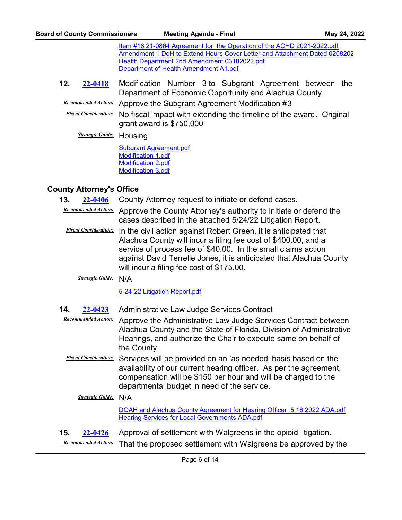[Item #18 21-0864 Agreement for the Operation of the ACHD 2021-2022.pdf](http://alachua.legistar.com/gateway.aspx?M=F&ID=fa7c70f8-8509-47ba-9ece-1b7300c8f583.pdf) Amendment 1 DoH to Extend Hours Cover Letter and Attachment Dated 0208202 [Health Department 2nd Amendment 03182022.pdf](http://alachua.legistar.com/gateway.aspx?M=F&ID=5ea2a311-b829-4585-bd59-3dfb31933cc9.pdf) [Department of Health Amendment A1.pdf](http://alachua.legistar.com/gateway.aspx?M=F&ID=25a6407c-b403-4b30-8882-3e18c54a280c.pdf)

**12.** 22-0418 Modification Number 3 to Subgrant Agreement between the Department of Economic Opportunity and Alachua County **[22-0418](http://alachua.legistar.com/gateway.aspx?m=l&id=/matter.aspx?key=4774)**

**Recommended Action:** Approve the Subgrant Agreement Modification #3

*Fiscal Consideration:* No fiscal impact with extending the timeline of the award. Original grant award is \$750,000

*Strategic Guide:* Housing

[Subgrant Agreement.pdf](http://alachua.legistar.com/gateway.aspx?M=F&ID=c22f87ec-b8d8-4226-b0f7-04a41487cb1f.pdf) [Modification 1.pdf](http://alachua.legistar.com/gateway.aspx?M=F&ID=17999f23-129e-4f05-b034-889b5f5a55e8.pdf) [Modification 2.pdf](http://alachua.legistar.com/gateway.aspx?M=F&ID=d016ded8-4d32-4edf-9546-42f5744d67f8.pdf) [Modification 3.pdf](http://alachua.legistar.com/gateway.aspx?M=F&ID=1a39807f-816e-4410-82d0-e2e311220b0e.pdf)

# **County Attorney's Office**

**13. [22-0406](http://alachua.legistar.com/gateway.aspx?m=l&id=/matter.aspx?key=4762)** County Attorney request to initiate or defend cases.

- Recommended Action: Approve the County Attorney's authority to initiate or defend the cases described in the attached 5/24/22 Litigation Report.
- *Fiscal Consideration:* In the civil action against Robert Green, it is anticipated that Alachua County will incur a filing fee cost of \$400.00, and a service of process fee of \$40.00. In the small claims action against David Terrelle Jones, it is anticipated that Alachua County will incur a filing fee cost of \$175.00.

*Strategic Guide:* N/A

[5-24-22 Litigation Report.pdf](http://alachua.legistar.com/gateway.aspx?M=F&ID=761cefaa-0005-4d83-8d61-5dd7d38f8348.pdf)

**14. [22-0423](http://alachua.legistar.com/gateway.aspx?m=l&id=/matter.aspx?key=4779)** Administrative Law Judge Services Contract

**Recommended Action:** Approve the Administrative Law Judge Services Contract between Alachua County and the State of Florida, Division of Administrative Hearings, and authorize the Chair to execute same on behalf of the County.

*Fiscal Consideration:* Services will be provided on an 'as needed' basis based on the availability of our current hearing officer. As per the agreement, compensation will be \$150 per hour and will be charged to the departmental budget in need of the service.

*Strategic Guide:* N/A

[DOAH and Alachua County Agreement for Hearing Officer\\_5.16.2022 ADA.pdf](http://alachua.legistar.com/gateway.aspx?M=F&ID=be3cb059-8ccb-45ca-8579-0419ddd25cb8.pdf) [Hearing Services for Local Governments ADA.pdf](http://alachua.legistar.com/gateway.aspx?M=F&ID=c8c97e0d-71c9-45b9-a4a0-5b8b6a84c54e.pdf)

**15. [22-0426](http://alachua.legistar.com/gateway.aspx?m=l&id=/matter.aspx?key=4782)** Approval of settlement with Walgreens in the opioid litigation.

That the proposed settlement with Walgreens be approved by the *Recommended Action:*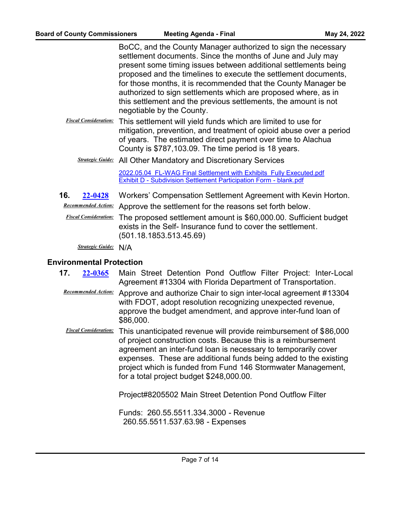BoCC, and the County Manager authorized to sign the necessary settlement documents. Since the months of June and July may present some timing issues between additional settlements being proposed and the timelines to execute the settlement documents, for those months, it is recommended that the County Manager be authorized to sign settlements which are proposed where, as in this settlement and the previous settlements, the amount is not negotiable by the County.

- *Fiscal Consideration:* This settlement will yield funds which are limited to use for mitigation, prevention, and treatment of opioid abuse over a period of years. The estimated direct payment over time to Alachua County is \$787,103.09. The time period is 18 years.
	- *Strategic Guide:* All Other Mandatory and Discretionary Services

[2022.05.04\\_FL-WAG Final Settlement with Exhibits\\_Fully Executed.pdf](http://alachua.legistar.com/gateway.aspx?M=F&ID=1dbecb13-7c80-42a2-a14c-7dce4e54c7f6.pdf) [Exhibit D - Subdivision Settlement Participation Form - blank.pdf](http://alachua.legistar.com/gateway.aspx?M=F&ID=58134712-96ff-42f8-a338-7b58dd8d33fc.pdf)

**16. [22-0428](http://alachua.legistar.com/gateway.aspx?m=l&id=/matter.aspx?key=4784)** Workers' Compensation Settlement Agreement with Kevin Horton.

**Recommended Action:** Approve the settlement for the reasons set forth below.

*Fiscal Consideration:* The proposed settlement amount is \$60,000.00. Sufficient budget exists in the Self- Insurance fund to cover the settlement. (501.18.1853.513.45.69)

*Strategic Guide:* N/A

#### **Environmental Protection**

- **17. 22-0365** Main Street Detention Pond Outflow Filter Project: Inter-Local Agreement #13304 with Florida Department of Transportation. **[22-0365](http://alachua.legistar.com/gateway.aspx?m=l&id=/matter.aspx?key=4721)**
	- Recommended Action: Approve and authorize Chair to sign inter-local agreement #13304 with FDOT, adopt resolution recognizing unexpected revenue, approve the budget amendment, and approve inter-fund loan of \$86,000.
	- *Fiscal Consideration:* This unanticipated revenue will provide reimbursement of \$86,000 of project construction costs. Because this is a reimbursement agreement an inter-fund loan is necessary to temporarily cover expenses. These are additional funds being added to the existing project which is funded from Fund 146 Stormwater Management, for a total project budget \$248,000.00.

Project#8205502 Main Street Detention Pond Outflow Filter

Funds: 260.55.5511.334.3000 - Revenue 260.55.5511.537.63.98 - Expenses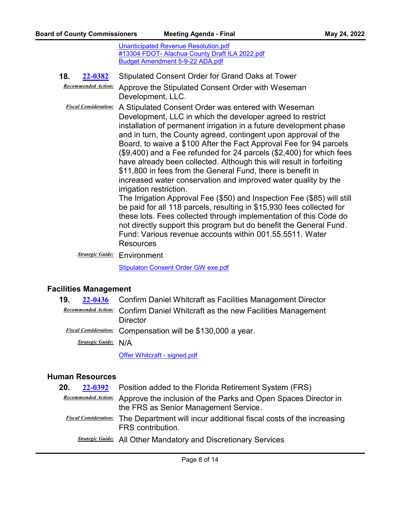[Unanticipated Revenue Resolution.pdf](http://alachua.legistar.com/gateway.aspx?M=F&ID=f4b2886d-125c-4f13-8d21-a6a4d3e9ca36.pdf) [#13304 FDOT- Alachua County Draft ILA 2022.pdf](http://alachua.legistar.com/gateway.aspx?M=F&ID=0d3ef1c2-7c25-4998-8518-123db28a6c87.pdf) [Budget Amendment 5-9-22 ADA.pdf](http://alachua.legistar.com/gateway.aspx?M=F&ID=1bc05583-db5e-4bf8-a747-231730cad48d.pdf)

**18. [22-0382](http://alachua.legistar.com/gateway.aspx?m=l&id=/matter.aspx?key=4738)** Stipulated Consent Order for Grand Oaks at Tower **Recommended Action:** Approve the Stipulated Consent Order with Weseman

Development, LLC.

*Fiscal Consideration:* A Stipulated Consent Order was entered with Weseman Development, LLC in which the developer agreed to restrict installation of permanent irrigation in a future development phase and in turn, the County agreed, contingent upon approval of the Board, to waive a \$100 After the Fact Approval Fee for 94 parcels (\$9,400) and a Fee refunded for 24 parcels (\$2,400) for which fees have already been collected. Although this will result in forfeiting \$11,800 in fees from the General Fund, there is benefit in increased water conservation and improved water quality by the irrigation restriction.

The Irrigation Approval Fee (\$50) and Inspection Fee (\$85) will still be paid for all 118 parcels, resulting in \$15,930 fees collected for these lots. Fees collected through implementation of this Code do not directly support this program but do benefit the General Fund. Fund: Various revenue accounts within 001.55.5511. Water **Resources** 

*Strategic Guide:* Environment

[Stipulaton Consent Order GW exe.pdf](http://alachua.legistar.com/gateway.aspx?M=F&ID=7b1df2f8-e8ce-4d7f-88c2-6003895de9d6.pdf)

# **Facilities Management**

**19. [22-0436](http://alachua.legistar.com/gateway.aspx?m=l&id=/matter.aspx?key=4792)** Confirm Daniel Whitcraft as Facilities Management Director **Recommended Action:** Confirm Daniel Whitcraft as the new Facilities Management **Director** *Fiscal Consideration:* Compensation will be \$130,000 a year. *Strategic Guide:* N/A

[Offer Whitcraft - signed.pdf](http://alachua.legistar.com/gateway.aspx?M=F&ID=70e4cd51-f99d-4676-a8a6-931116d36c50.pdf)

# **Human Resources**

| 20.<br>22-0392 | Position added to the Florida Retirement System (FRS)                                                                        |
|----------------|------------------------------------------------------------------------------------------------------------------------------|
|                | Recommended Action: Approve the inclusion of the Parks and Open Spaces Director in<br>the FRS as Senior Management Service.  |
|                | <b><i>Fiscal Consideration:</i></b> The Department will incur additional fiscal costs of the increasing<br>FRS contribution. |
|                | <b>Strategic Guide:</b> All Other Mandatory and Discretionary Services                                                       |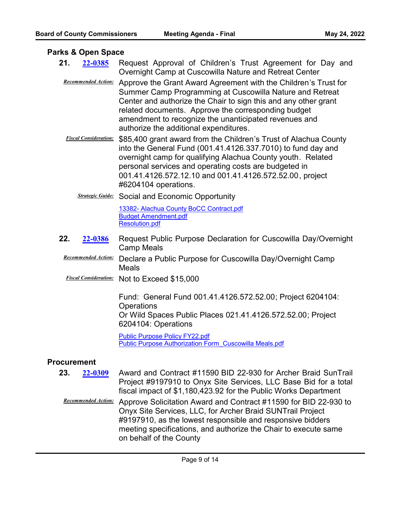#### **Parks & Open Space**

- 21. 22-0385 Request Approval of Children's Trust Agreement for Day and Overnight Camp at Cuscowilla Nature and Retreat Center **[22-0385](http://alachua.legistar.com/gateway.aspx?m=l&id=/matter.aspx?key=4741)**
	- **Recommended Action:** Approve the Grant Award Agreement with the Children's Trust for Summer Camp Programming at Cuscowilla Nature and Retreat Center and authorize the Chair to sign this and any other grant related documents. Approve the corresponding budget amendment to recognize the unanticipated revenues and authorize the additional expenditures.
	- *Fiscal Consideration:* \$85,400 grant award from the Children's Trust of Alachua County into the General Fund (001.41.4126.337.7010) to fund day and overnight camp for qualifying Alachua County youth. Related personal services and operating costs are budgeted in 001.41.4126.572.12.10 and 001.41.4126.572.52.00, project #6204104 operations.
		- *Strategic Guide:* Social and Economic Opportunity

[13382- Alachua County BoCC Contract.pdf](http://alachua.legistar.com/gateway.aspx?M=F&ID=90a84b5e-3d74-47d3-9e79-a633f37c5922.pdf) [Budget Amendment.pdf](http://alachua.legistar.com/gateway.aspx?M=F&ID=7e9768f5-c9f9-41f2-8dc0-987e7017bad2.pdf) [Resolution.pdf](http://alachua.legistar.com/gateway.aspx?M=F&ID=bdbdd58d-9862-413a-92de-8ad521ff56e9.pdf)

- **22.** 22-0386 Request Public Purpose Declaration for Cuscowilla Day/Overnight Camp Meals **[22-0386](http://alachua.legistar.com/gateway.aspx?m=l&id=/matter.aspx?key=4742)**
- **Recommended Action:** Declare a Public Purpose for Cuscowilla Day/Overnight Camp Meals
- *Fiscal Consideration:* Not to Exceed \$15,000

Fund: General Fund 001.41.4126.572.52.00; Project 6204104: **Operations** Or Wild Spaces Public Places 021.41.4126.572.52.00; Project 6204104: Operations

[Public Purpose Policy FY22.pdf](http://alachua.legistar.com/gateway.aspx?M=F&ID=acd4e313-e456-4342-8494-f4d7fef69da8.pdf) [Public Purpose Authorization Form\\_Cuscowilla Meals.pdf](http://alachua.legistar.com/gateway.aspx?M=F&ID=b4a418ea-8a0d-448b-80f7-26ecf1b748dd.pdf)

# **Procurement**

- **23.** 22-0309 Award and Contract #11590 BID 22-930 for Archer Braid SunTrail Project #9197910 to Onyx Site Services, LLC Base Bid for a total fiscal impact of \$1,180,423.92 for the Public Works Department **[22-0309](http://alachua.legistar.com/gateway.aspx?m=l&id=/matter.aspx?key=4665)**
- Recommended Action: Approve Solicitation Award and Contract #11590 for BID 22-930 to Onyx Site Services, LLC, for Archer Braid SUNTrail Project #9197910, as the lowest responsible and responsive bidders meeting specifications, and authorize the Chair to execute same on behalf of the County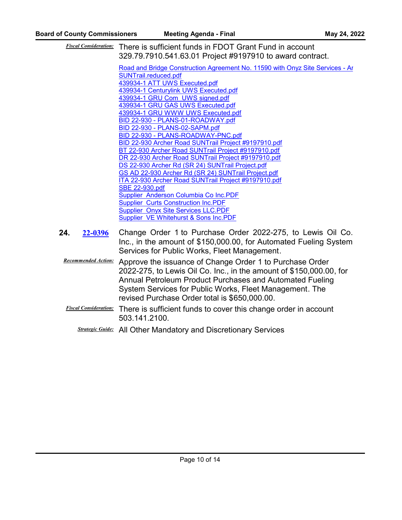*Fiscal Consideration:* There is sufficient funds in FDOT Grant Fund in account 329.79.7910.541.63.01 Project #9197910 to award contract.

> Road and Bridge Construction Agreement No. 11590 with Onyz Site Services - Ar SUNTrail.reduced.pdf [439934-1 ATT UWS Executed.pdf](http://alachua.legistar.com/gateway.aspx?M=F&ID=875b8507-8e7f-4966-8609-23b13e502edf.pdf) [439934-1 Centurylink UWS Executed.pdf](http://alachua.legistar.com/gateway.aspx?M=F&ID=80a80161-2915-4833-b926-68d6c81eb973.pdf) [439934-1 GRU Com UWS signed.pdf](http://alachua.legistar.com/gateway.aspx?M=F&ID=55deafdc-3c5b-49d3-bf6b-ccef1f3b1dc9.pdf) [439934-1 GRU GAS UWS Executed.pdf](http://alachua.legistar.com/gateway.aspx?M=F&ID=d7115831-fe84-479f-9537-1cec294bcf5f.pdf) [439934-1 GRU WWW UWS Executed.pdf](http://alachua.legistar.com/gateway.aspx?M=F&ID=891dde34-fe12-4371-808b-d009e9c6df7e.pdf) [BID 22-930 - PLANS-01-ROADWAY.pdf](http://alachua.legistar.com/gateway.aspx?M=F&ID=8e69fd57-410b-4736-9a2a-b0ba69fbac32.pdf) [BID 22-930 - PLANS-02-SAPM.pdf](http://alachua.legistar.com/gateway.aspx?M=F&ID=32691f33-3b3b-4959-837c-6ccf6dbd9497.pdf) [BID 22-930 - PLANS-ROADWAY-PNC.pdf](http://alachua.legistar.com/gateway.aspx?M=F&ID=008e48db-08bd-40f2-9006-e48b76ac45f1.pdf) [BID 22-930 Archer Road SUNTrail Project #9197910.pdf](http://alachua.legistar.com/gateway.aspx?M=F&ID=323c3077-3e17-42b7-bfd1-7c4c0794c68b.pdf) [BT 22-930 Archer Road SUNTrail Project #9197910.pdf](http://alachua.legistar.com/gateway.aspx?M=F&ID=27fd8468-f5e3-4843-bf68-030c4b125fe6.pdf) [DR 22-930 Archer Road SUNTrail Project #9197910.pdf](http://alachua.legistar.com/gateway.aspx?M=F&ID=7bb0793e-2513-48fb-8073-92bbad7d195f.pdf) [DS 22-930 Archer Rd \(SR 24\) SUNTrail Project.pdf](http://alachua.legistar.com/gateway.aspx?M=F&ID=ebc55d3f-7682-4df0-9ac1-ff30ded9db56.pdf) [GS AD 22-930 Archer Rd \(SR 24\) SUNTrail Project.pdf](http://alachua.legistar.com/gateway.aspx?M=F&ID=1d3b1b59-b71b-4576-91d8-0f8edf3617ea.pdf) [ITA 22-930 Archer Road SUNTrail Project #9197910.pdf](http://alachua.legistar.com/gateway.aspx?M=F&ID=ea098e4a-7c5b-4cc7-b288-149e7e3157fe.pdf) [SBE 22-930.pdf](http://alachua.legistar.com/gateway.aspx?M=F&ID=53066b34-d916-4552-8087-e99346ddcf09.pdf) [Supplier Anderson Columbia Co Inc.PDF](http://alachua.legistar.com/gateway.aspx?M=F&ID=6da27b21-0bde-491e-9cf5-418d3bc800c6.PDF) [Supplier Curts Construction Inc.PDF](http://alachua.legistar.com/gateway.aspx?M=F&ID=4975f630-f486-47e8-b6ad-95acaa24f543.PDF) [Supplier Onyx Site Services LLC.PDF](http://alachua.legistar.com/gateway.aspx?M=F&ID=af183f6b-d94d-49fc-aa3b-9f2d33a01c52.PDF) [Supplier VE Whitehurst & Sons Inc.PDF](http://alachua.legistar.com/gateway.aspx?M=F&ID=9e35873e-66a2-4c84-b3ae-8a35a8935bfc.PDF)

- **24.** 22-0396 Change Order 1 to Purchase Order 2022-275, to Lewis Oil Co. Inc., in the amount of \$150,000.00, for Automated Fueling System Services for Public Works, Fleet Management. **[22-0396](http://alachua.legistar.com/gateway.aspx?m=l&id=/matter.aspx?key=4752)**
	- **Recommended Action:** Approve the issuance of Change Order 1 to Purchase Order 2022-275, to Lewis Oil Co. Inc., in the amount of \$150,000.00, for Annual Petroleum Product Purchases and Automated Fueling System Services for Public Works, Fleet Management. The revised Purchase Order total is \$650,000.00.
	- *Fiscal Consideration:* There is sufficient funds to cover this change order in account 503.141.2100.
		- *Strategic Guide:* All Other Mandatory and Discretionary Services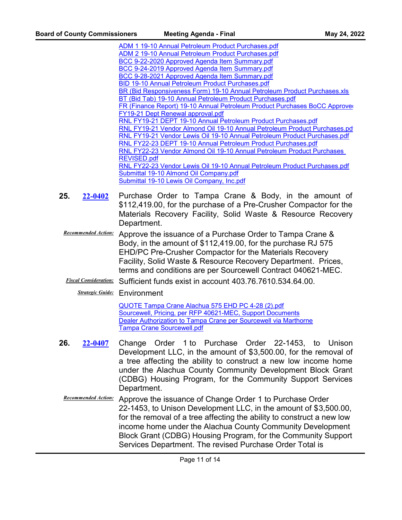[ADM 1 19-10 Annual Petroleum Product Purchases.pdf](http://alachua.legistar.com/gateway.aspx?M=F&ID=65f66879-70bf-4970-aa3c-24de7e03fbb8.pdf) [ADM 2 19-10 Annual Petroleum Product Purchases.pdf](http://alachua.legistar.com/gateway.aspx?M=F&ID=2a271ab0-fa64-4a16-a42f-91f90db7f2b7.pdf) [BCC 9-22-2020 Approved Agenda Item Summary.pdf](http://alachua.legistar.com/gateway.aspx?M=F&ID=7918c8a2-0ee8-4a7b-970a-eb8bb6bcf318.pdf) [BCC 9-24-2019 Approved Agenda Item Summary.pdf](http://alachua.legistar.com/gateway.aspx?M=F&ID=fdeddf00-3df3-43ce-9c43-ba4f4de8c1a9.pdf) [BCC 9-28-2021 Approved Agenda Item Summary.pdf](http://alachua.legistar.com/gateway.aspx?M=F&ID=1d3b24d0-5e40-42a6-b9c0-00d0ec2c4a8e.pdf) [BID 19-10 Annual Petroleum Product Purchases.pdf](http://alachua.legistar.com/gateway.aspx?M=F&ID=9cd7d645-3db7-4712-9abb-1d32cf4f4ce1.pdf) [BR \(Bid Responsiveness Form\) 19-10 Annual Petroleum Product Purchases.xls](http://alachua.legistar.com/gateway.aspx?M=F&ID=edcc08a7-0cce-42ce-b001-2ea18b530961.xls) [BT \(Bid Tab\) 19-10 Annual Petroleum Product Purchases.pdf](http://alachua.legistar.com/gateway.aspx?M=F&ID=a70a52f5-9603-4eb3-a9b6-f9c3ada9e3a9.pdf) FR (Finance Report) 19-10 Annual Petroleum Product Purchases BoCC Approver [FY19-21 Dept Renewal approval.pdf](http://alachua.legistar.com/gateway.aspx?M=F&ID=a807e3f4-c742-421e-a1f4-3f77de9d021b.pdf) [RNL FY19-21 DEPT 19-10 Annual Petroleum Product Purchases.pdf](http://alachua.legistar.com/gateway.aspx?M=F&ID=35a795d5-8c7e-479e-9446-b94aeb08a7a1.pdf) RNL FY19-21 Vendor Almond Oil 19-10 Annual Petroleum Product Purchases.pd [RNL FY19-21 Vendor Lewis Oil 19-10 Annual Petroleum Product Purchases.pdf](http://alachua.legistar.com/gateway.aspx?M=F&ID=b4a9d18c-ed2f-4b6a-bb82-cc1e3c42c3cd.pdf) [RNL FY22-23 DEPT 19-10 Annual Petroleum Product Purchases.pdf](http://alachua.legistar.com/gateway.aspx?M=F&ID=058a9f94-4ad3-4520-98f0-dc44828b8b92.pdf) [RNL FY22-23 Vendor Almond Oil 19-10 Annual Petroleum Product Purchases](http://alachua.legistar.com/gateway.aspx?M=F&ID=e5060461-1e12-4060-8c51-72e0c07037bd.pdf)  REVISED.pdf [RNL FY22-23 Vendor Lewis Oil 19-10 Annual Petroleum Product Purchases.pdf](http://alachua.legistar.com/gateway.aspx?M=F&ID=4a66c68f-159a-4082-92df-214bc6e21f3c.pdf) [Submittal 19-10 Almond Oil Company.pdf](http://alachua.legistar.com/gateway.aspx?M=F&ID=bc491b23-90cf-4a55-a594-0a0d4dd6393e.pdf) [Submittal 19-10 Lewis Oil Company, Inc.pdf](http://alachua.legistar.com/gateway.aspx?M=F&ID=019add56-ebfb-4ebc-94c6-0a2d298d9f8b.pdf)

- **25.** 22-0402 Purchase Order to Tampa Crane & Body, in the amount of \$112,419.00, for the purchase of a Pre-Crusher Compactor for the Materials Recovery Facility, Solid Waste & Resource Recovery Department. **[22-0402](http://alachua.legistar.com/gateway.aspx?m=l&id=/matter.aspx?key=4758)**
	- **Recommended Action:** Approve the issuance of a Purchase Order to Tampa Crane & Body, in the amount of \$112,419.00, for the purchase RJ 575 EHD/PC Pre-Crusher Compactor for the Materials Recovery Facility, Solid Waste & Resource Recovery Department. Prices, terms and conditions are per Sourcewell Contract 040621-MEC.
	- *Fiscal Consideration:* Sufficient funds exist in account 403.76.7610.534.64.00.

*Strategic Guide:* Environment

[QUOTE Tampa Crane Alachua 575 EHD PC 4-28 \(2\).pdf](http://alachua.legistar.com/gateway.aspx?M=F&ID=97bd2aed-e4d6-4fb3-b78f-d4a09c6189b4.pdf) [Sourcewell, Pricing, per RFP 40621-MEC, Support Documents](http://alachua.legistar.com/gateway.aspx?M=F&ID=e2254511-fcc6-441c-a62c-a662485e0f5f.pdf) [Dealer Authorization to Tampa Crane per Sourcewell via Marthorne](http://alachua.legistar.com/gateway.aspx?M=F&ID=0fa2ba22-d1eb-42d6-b927-d225ebbbf581.pdf) [Tampa Crane Sourcewell.pdf](http://alachua.legistar.com/gateway.aspx?M=F&ID=84df6e10-3543-48c9-851d-15694136ad32.pdf)

- 26. 22-0407 Change Order 1 to Purchase Order 22-1453, to Unison Development LLC, in the amount of \$3,500.00, for the removal of a tree affecting the ability to construct a new low income home under the Alachua County Community Development Block Grant (CDBG) Housing Program, for the Community Support Services Department. **[22-0407](http://alachua.legistar.com/gateway.aspx?m=l&id=/matter.aspx?key=4763)**
- **Recommended Action:** Approve the issuance of Change Order 1 to Purchase Order 22-1453, to Unison Development LLC, in the amount of \$3,500.00, for the removal of a tree affecting the ability to construct a new low income home under the Alachua County Community Development Block Grant (CDBG) Housing Program, for the Community Support Services Department. The revised Purchase Order Total is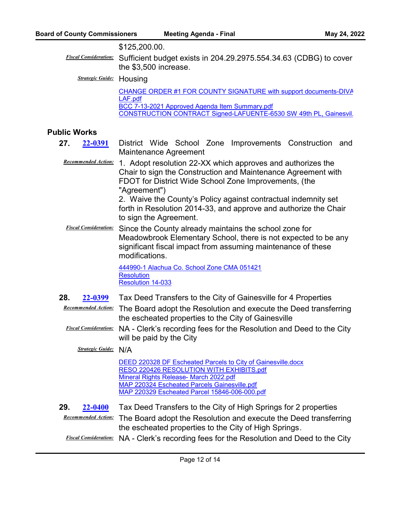#### \$125,200.00.

*Fiscal Consideration:* Sufficient budget exists in 204.29.2975.554.34.63 (CDBG) to cover the \$3,500 increase.

*Strategic Guide:* Housing

[CHANGE ORDER #1 FOR COUNTY SIGNATURE with support documents-DIVA](http://alachua.legistar.com/gateway.aspx?M=F&ID=66c58e76-158e-4e7a-8327-f8be00f1263b.pdf)  LAF.pdf [BCC 7-13-2021 Approved Agenda Item Summary.pdf](http://alachua.legistar.com/gateway.aspx?M=F&ID=cf9d3090-2e34-4319-b7ce-b02bd5d0dfc8.pdf) CONSTRUCTION CONTRACT Signed-LAFUENTE-6530 SW 49th PL, Gainesvil.

# **Public Works**

- 27. 22-0391 District Wide School Zone Improvements Construction and Maintenance Agreement **[22-0391](http://alachua.legistar.com/gateway.aspx?m=l&id=/matter.aspx?key=4747)**
	- Recommended Action: 1. Adopt resolution 22-XX which approves and authorizes the Chair to sign the Construction and Maintenance Agreement with FDOT for District Wide School Zone Improvements, (the "Agreement")

2. Waive the County's Policy against contractual indemnity set forth in Resolution 2014-33, and approve and authorize the Chair to sign the Agreement.

*Fiscal Consideration:* Since the County already maintains the school zone for Meadowbrook Elementary School, there is not expected to be any significant fiscal impact from assuming maintenance of these modifications.

> [444990-1 Alachua Co. School Zone CMA 051421](http://alachua.legistar.com/gateway.aspx?M=F&ID=0eb97139-b126-47fd-a87f-802975cf0113.pdf) **[Resolution](http://alachua.legistar.com/gateway.aspx?M=F&ID=c4f1e4ec-2920-4309-8fa6-715c4f50f2f7.doc)** [Resolution 14-033](http://alachua.legistar.com/gateway.aspx?M=F&ID=c6f9d67b-f06b-4017-8a3c-82c346c3791b.pdf)

**28. [22-0399](http://alachua.legistar.com/gateway.aspx?m=l&id=/matter.aspx?key=4755)** Tax Deed Transfers to the City of Gainesville for 4 Properties

**Recommended Action:** The Board adopt the Resolution and execute the Deed transferring the escheated properties to the City of Gainesville

*Fiscal Consideration:* NA - Clerk's recording fees for the Resolution and Deed to the City will be paid by the City

*Strategic Guide:* N/A

|     |                | DEED 220328 DF Escheated Parcels to City of Gainesville.docx<br>RESO 220426 RESOLUTION WITH EXHIBITS.pdf<br>Mineral Rights Release- March 2022.pdf<br>MAP 220324 Escheated Parcels Gainesville.pdf<br>MAP 220329 Escheated Parcel 15846-006-000.pdf |
|-----|----------------|-----------------------------------------------------------------------------------------------------------------------------------------------------------------------------------------------------------------------------------------------------|
| 29. | <b>22-0400</b> | Tax Deed Transfers to the City of High Springs for 2 properties<br>Recommended Action: The Board adopt the Pesolution and execute the Deed transfer                                                                                                 |

The Board adopt the Resolution and execute the Deed transferring the escheated properties to the City of High Springs.  $Recommend$ 

*Fiscal Consideration:* NA - Clerk's recording fees for the Resolution and Deed to the City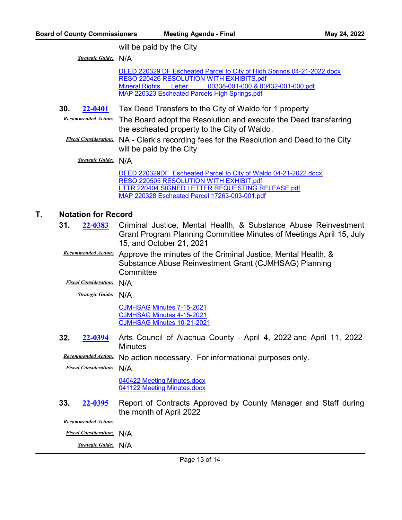will be paid by the City

*Strategic Guide:* N/A

[DEED 220329 DF Escheated Parcel to City of High Springs 04-21-2022.docx](http://alachua.legistar.com/gateway.aspx?M=F&ID=08469216-c315-4fa5-b3ea-925f9b748b79.docx) [RESO 220426 RESOLUTION WITH EXHIBITS.pdf](http://alachua.legistar.com/gateway.aspx?M=F&ID=328edb71-41a2-482d-b049-9c921910851b.pdf) [Mineral Rights Letter 00338-001-000 & 00432-001-000.pdf](http://alachua.legistar.com/gateway.aspx?M=F&ID=871a3b5d-550d-40ed-b658-a3512f8f3a80.pdf) [MAP 220323 Escheated Parcels High Springs.pdf](http://alachua.legistar.com/gateway.aspx?M=F&ID=dee45cd7-e147-401c-9256-a8ad6a5f3a63.pdf)

**30. [22-0401](http://alachua.legistar.com/gateway.aspx?m=l&id=/matter.aspx?key=4757)** Tax Deed Transfers to the City of Waldo for 1 property

**Recommended Action:** The Board adopt the Resolution and execute the Deed transferring the escheated property to the City of Waldo.

*Fiscal Consideration:* NA - Clerk's recording fees for the Resolution and Deed to the City will be paid by the City

*Strategic Guide:* N/A

[DEED 220329DF Escheated Parcel to City of Waldo 04-21-2022.docx](http://alachua.legistar.com/gateway.aspx?M=F&ID=61c96f3e-06a1-41de-90df-e79e5fafb460.docx) [RESO 220505 RESOLUTION WITH EXHIBIT.pdf](http://alachua.legistar.com/gateway.aspx?M=F&ID=6b54e07b-2c74-4a07-aca5-58a133f0a9f4.pdf) [LTTR 220404 SIGNED LETTER REQUESTING RELEASE.pdf](http://alachua.legistar.com/gateway.aspx?M=F&ID=e8cf8c5d-bfe7-473a-8226-af0057c12c8f.pdf) [MAP 220328 Escheated Parcel 17263-003-001.pdf](http://alachua.legistar.com/gateway.aspx?M=F&ID=737d1eaf-c016-4b2a-b9e7-f968e6ddb5d1.pdf)

# **T. Notation for Record**

- **31.** 22-0383 Criminal Justice, Mental Health, & Substance Abuse Reinvestment Grant Program Planning Committee Minutes of Meetings April 15, July 15, and October 21, 2021 **[22-0383](http://alachua.legistar.com/gateway.aspx?m=l&id=/matter.aspx?key=4739)**
	- **Recommended Action:** Approve the minutes of the Criminal Justice, Mental Health, & Substance Abuse Reinvestment Grant (CJMHSAG) Planning **Committee**

*Fiscal Consideration:* N/A

*Strategic Guide:* N/A

[CJMHSAG Minutes 7-15-2021](http://alachua.legistar.com/gateway.aspx?M=F&ID=392c6712-4a96-496c-bdb4-a1aed6d0ed63.docx) [CJMHSAG Minutes 4-15-2021](http://alachua.legistar.com/gateway.aspx?M=F&ID=7c676fe5-16b1-4fbd-a63b-95bd06aff9f2.docx) [CJMHSAG Minutes 10-21-2021](http://alachua.legistar.com/gateway.aspx?M=F&ID=79c72b41-601f-4c95-a52d-160728a32b21.docx)

**32.** 22-0394 Arts Council of Alachua County - April 4, 2022 and April 11, 2022 **Minutes [22-0394](http://alachua.legistar.com/gateway.aspx?m=l&id=/matter.aspx?key=4750)**

**Recommended Action:** No action necessary. For informational purposes only.

*Fiscal Consideration:* N/A

[040422 Meeting Minutes.docx](http://alachua.legistar.com/gateway.aspx?M=F&ID=faca20ef-148c-4d5c-ab04-cb2ea04833e0.docx) [041122 Meeting Minutes.docx](http://alachua.legistar.com/gateway.aspx?M=F&ID=33dcd07f-71f4-4e48-9d9a-94137e96a93e.docx)

**33. 22-0395** Report of Contracts Approved by County Manager and Staff during the month of April 2022 **[22-0395](http://alachua.legistar.com/gateway.aspx?m=l&id=/matter.aspx?key=4751)**

*Recommended Action:*

*Fiscal Consideration:* N/A

*Strategic Guide:* N/A